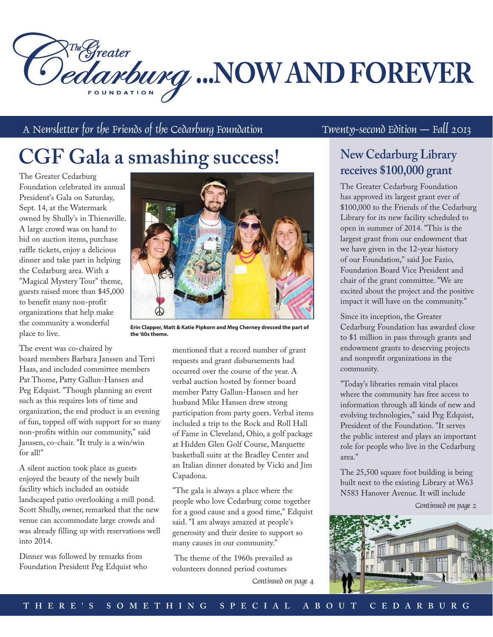**Dedarburg ... NOW AND FOREVER** 

### A Newsletter for the Friends of the Cedarburg Foundation Twenty-second Edition – Fall 2013

# **CGF Gala a smashing success!**

The Greater Cedarburg Foundation celebrated its annual President's Gala on Saturday, Sept. 14, at the Watermark owned by Shully's in Thiensville. A large crowd was on hand to bid on auction items, purchase raffle tickets, enjoy a delicious dinner and take part in helping the Cedarburg area. With a "Magical Mystery Tour" theme, guests raised more than \$45,000 to benefit many non-profit organizations that help make the community a wonderful place to live.

The event was co-chaired by board members Barbara Janssen and Terri Haas, and included committee members Pat Thome, Patty Gallun-Hansen and Peg Edquist. "Though planning an event such as this requires lots of time and organization, the end product is an evening of fun, topped off with support for so many non-profits within our community," said Janssen, co-chair. "It truly is a win/win for all!"

A silent auction took place as guests enjoyed the beauty of the newly built facility which included an outside landscaped patio overlooking a mill pond. Scott Shully, owner, remarked that the new venue can accommodate large crowds and was already filling up with reservations well into 2014.

Dinner was followed by remarks from Foundation President Peg Edquist who



**Erin Clapper, Matt & Katie Pipkorn and Meg Cherney dressed the part of the '60s theme.**

mentioned that a record number of grant requests and grant disbursements had occurred over the course of the year. A verbal auction hosted by former board member Patty Gallun-Hansen and her husband Mike Hansen drew strong participation from party goers. Verbal items included a trip to the Rock and Roll Hall of Fame in Cleveland, Ohio, a golf package at Hidden Glen Golf Course, Marquette basketball suite at the Bradley Center and an Italian dinner donated by Vicki and Jim Capadona.

"The gala is always a place where the people who love Cedarburg come together for a good cause and a good time," Edquist said. "I am always amazed at people's generosity and their desire to support so many causes in our community."

 The theme of the 1960s prevailed as volunteers donned period costumes

### **New Cedarburg Library receives \$100,000 grant**

The Greater Cedarburg Foundation has approved its largest grant ever of \$100,000 to the Friends of the Cedarburg Library for its new facility scheduled to open in summer of 2014. "This is the largest grant from our endowment that we have given in the 12-year history of our Foundation," said Joe Fazio, Foundation Board Vice President and chair of the grant committee. "We are excited about the project and the positive impact it will have on the community."

Since its inception, the Greater Cedarburg Foundation has awarded close to \$1 million in pass through grants and endowment grants to deserving projects and nonprofit organizations in the community.

"Today's libraries remain vital places where the community has free access to information through all kinds of new and evolving technologies," said Peg Edquist, President of the Foundation. "It serves the public interest and plays an important role for people who live in the Cedarburg area."

The 25,500 square foot building is being built next to the existing Library at W63 N583 Hanover Avenue. It will include

Continued on page 2



Continued on page 4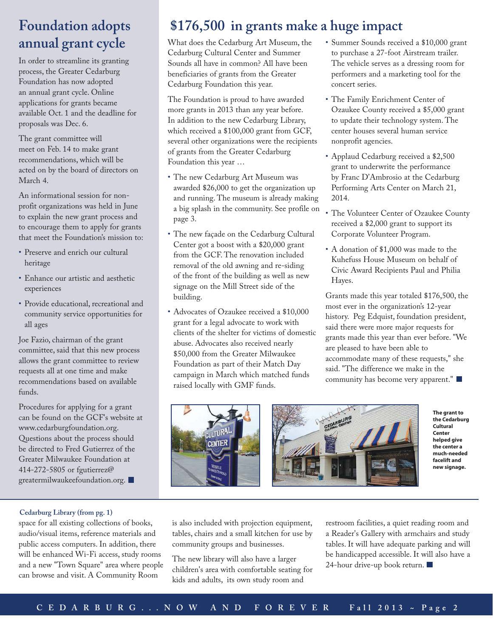# **Foundation adopts annual grant cycle**

In order to streamline its granting process, the Greater Cedarburg Foundation has now adopted an annual grant cycle. Online applications for grants became available Oct. 1 and the deadline for proposals was Dec. 6.

The grant committee will meet on Feb. 14 to make grant recommendations, which will be acted on by the board of directors on March 4.

An informational session for nonprofit organizations was held in June to explain the new grant process and to encourage them to apply for grants that meet the Foundation's mission to:

- • Preserve and enrich our cultural heritage
- • Enhance our artistic and aesthetic experiences
- • Provide educational, recreational and community service opportunities for all ages

Joe Fazio, chairman of the grant committee, said that this new process allows the grant committee to review requests all at one time and make recommendations based on available funds.

Procedures for applying for a grant can be found on the GCF's website at www.cedarburgfoundation.org. Questions about the process should be directed to Fred Gutierrez of the Greater Milwaukee Foundation at 414-272-5805 or fgutierrez@ greatermilwaukeefoundation.org.

### **Cedarburg Library (from pg. 1)**

space for all existing collections of books, audio/visual items, reference materials and public access computers. In addition, there will be enhanced Wi-Fi access, study rooms and a new "Town Square" area where people can browse and visit. A Community Room

# **\$176,500 in grants make a huge impact**

What does the Cedarburg Art Museum, the Cedarburg Cultural Center and Summer Sounds all have in common? All have been beneficiaries of grants from the Greater Cedarburg Foundation this year.

The Foundation is proud to have awarded more grants in 2013 than any year before. In addition to the new Cedarburg Library, which received a \$100,000 grant from GCF, several other organizations were the recipients of grants from the Greater Cedarburg Foundation this year …

- • The new Cedarburg Art Museum was awarded \$26,000 to get the organization up and running. The museum is already making a big splash in the community. See profile on page 3.
- • The new façade on the Cedarburg Cultural Center got a boost with a \$20,000 grant from the GCF. The renovation included removal of the old awning and re-siding of the front of the building as well as new signage on the Mill Street side of the building.
- Advocates of Ozaukee received a \$10,000 grant for a legal advocate to work with clients of the shelter for victims of domestic abuse. Advocates also received nearly \$50,000 from the Greater Milwaukee Foundation as part of their Match Day campaign in March which matched funds raised locally with GMF funds.



- The Family Enrichment Center of Ozaukee County received a \$5,000 grant to update their technology system. The center houses several human service nonprofit agencies.
- • Applaud Cedarburg received a \$2,500 grant to underwrite the performance by Franc D'Ambrosio at the Cedarburg Performing Arts Center on March 21, 2014.
- • The Volunteer Center of Ozaukee County received a \$2,000 grant to support its Corporate Volunteer Program.
- • A donation of \$1,000 was made to the Kuhefuss House Museum on behalf of Civic Award Recipients Paul and Philia Hayes.

Grants made this year totaled \$176,500, the most ever in the organization's 12-year history. Peg Edquist, foundation president, said there were more major requests for grants made this year than ever before. "We are pleased to have been able to accommodate many of these requests," she said. "The difference we make in the community has become very apparent."





**The grant to the Cedarburg Cultural Center helped give the center a much-needed facelift and new signage.**

is also included with projection equipment, tables, chairs and a small kitchen for use by community groups and businesses.

The new library will also have a larger children's area with comfortable seating for kids and adults, its own study room and

restroom facilities, a quiet reading room and a Reader's Gallery with armchairs and study tables. It will have adequate parking and will be handicapped accessible. It will also have a 24-hour drive-up book return.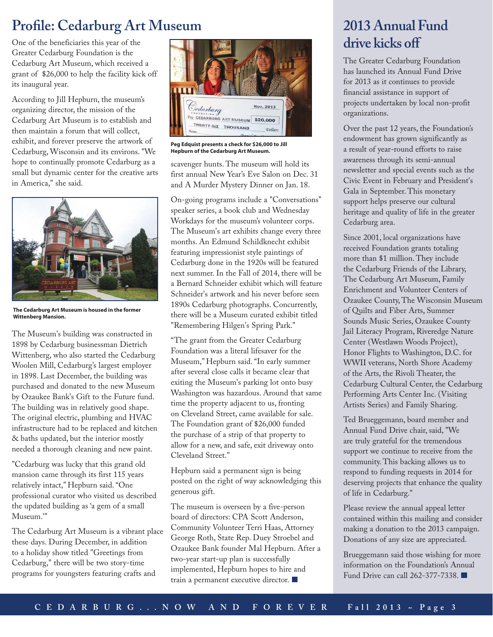## **Profile: Cedarburg Art Museum**

One of the beneficiaries this year of the Greater Cedarburg Foundation is the Cedarburg Art Museum, which received a grant of \$26,000 to help the facility kick off its inaugural year.

According to Jill Hepburn, the museum's organizing director, the mission of the Cedarburg Art Museum is to establish and then maintain a forum that will collect, exhibit, and forever preserve the artwork of Cedarburg, Wisconsin and its environs. "We hope to continually promote Cedarburg as a small but dynamic center for the creative arts in America," she said.



**The Cedarburg Art Museum is housed in the former Wittenberg Mansion.**

The Museum's building was constructed in 1898 by Cedarburg businessman Dietrich Wittenberg, who also started the Cedarburg Woolen Mill, Cedarburg's largest employer in 1898. Last December, the building was purchased and donated to the new Museum by Ozaukee Bank's Gift to the Future fund. The building was in relatively good shape. The original electric, plumbing and HVAC infrastructure had to be replaced and kitchen & baths updated, but the interior mostly needed a thorough cleaning and new paint.

"Cedarburg was lucky that this grand old mansion came through its first 115 years relatively intact," Hepburn said. "One professional curator who visited us described the updated building as 'a gem of a small Museum.'"

The Cedarburg Art Museum is a vibrant place these days. During December, in addition to a holiday show titled "Greetings from Cedarburg," there will be two story-time programs for youngsters featuring crafts and



**Peg Edquist presents a check for \$26,000 to Jill Hepburn of the Cedarburg Art Museum.**

scavenger hunts. The museum will hold its first annual New Year's Eve Salon on Dec. 31 and A Murder Mystery Dinner on Jan. 18.

On-going programs include a "Conversations" speaker series, a book club and Wednesday Workdays for the museum's volunteer corps. The Museum's art exhibits change every three months. An Edmund Schildknecht exhibit featuring impressionist style paintings of Cedarburg done in the 1920s will be featured next summer. In the Fall of 2014, there will be a Bernard Schneider exhibit which will feature Schneider's artwork and his never before seen 1890s Cedarburg photographs. Concurrently, there will be a Museum curated exhibit titled "Remembering Hilgen's Spring Park."

"The grant from the Greater Cedarburg Foundation was a literal lifesaver for the Museum," Hepburn said. "In early summer after several close calls it became clear that exiting the Museum's parking lot onto busy Washington was hazardous. Around that same time the property adjacent to us, fronting on Cleveland Street, came available for sale. The Foundation grant of \$26,000 funded the purchase of a strip of that property to allow for a new, and safe, exit driveway onto Cleveland Street."

Hepburn said a permanent sign is being posted on the right of way acknowledging this generous gift.

The museum is overseen by a five-person board of directors: CPA Scott Anderson, Community Volunteer Terri Haas, Attorney George Roth, State Rep. Duey Stroebel and Ozaukee Bank founder Mal Hepburn. After a two-year start-up plan is successfully implemented, Hepburn hopes to hire and train a permanent executive director.

## **2013 Annual Fund**  drive kicks off

The Greater Cedarburg Foundation has launched its Annual Fund Drive for 2013 as it continues to provide financial assistance in support of projects undertaken by local non-profit organizations.

Over the past 12 years, the Foundation's endowment has grown significantly as a result of year-round efforts to raise awareness through its semi-annual newsletter and special events such as the Civic Event in February and President's Gala in September. This monetary support helps preserve our cultural heritage and quality of life in the greater Cedarburg area.

Since 2001, local organizations have received Foundation grants totaling more than \$1 million. They include the Cedarburg Friends of the Library, The Cedarburg Art Museum, Family Enrichment and Volunteer Centers of Ozaukee County, The Wisconsin Museum of Quilts and Fiber Arts, Summer Sounds Music Series, Ozaukee County Jail Literacy Program, Riveredge Nature Center (Westlawn Woods Project), Honor Flights to Washington, D.C. for WWII veterans, North Shore Academy of the Arts, the Rivoli Theater, the Cedarburg Cultural Center, the Cedarburg Performing Arts Center Inc. (Visiting Artists Series) and Family Sharing.

Ted Brueggemann, board member and Annual Fund Drive chair, said, "We are truly grateful for the tremendous support we continue to receive from the community. This backing allows us to respond to funding requests in 2014 for deserving projects that enhance the quality of life in Cedarburg."

Please review the annual appeal letter contained within this mailing and consider making a donation to the 2013 campaign. Donations of any size are appreciated.

Brueggemann said those wishing for more information on the Foundation's Annual Fund Drive can call 262-377-7338.